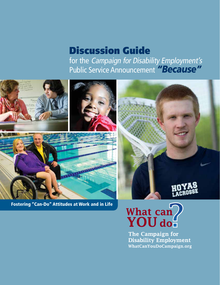# Discussion Guide for the Campaign for Disability Employment's Public Service Announcement *"Because"*

**ITTO DELL'ANTICO** 

Fostering "Can-Do" Attitudes at Work and in Life



The Campaign for **Disability Employment** WhatCanYouDoCampaign.org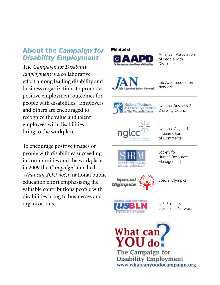### About the *Campaign for Disability Employment*

The *Campaign for Disability Employment* is a collaborative effort among leading disability and business organizations to promote positive employment outcomes for people with disabilities. Employers and others are encouraged to recognize the value and talent employees with disabilities bring to the workplace.

To encourage positive images of people with disabilities succeeding in communities and the workplace, in 2009 the *Campaign* launched *What can YOU do?*, a national public education effort emphasizing the valuable contributions people with disabilities bring to businesses and organizations.

## Members American Association of People with **Disabilities** Job Accommodation Network mmodation Network National Business<br>& Disability Council<br>at The Viscardi Center National Business & Disability Council National Gay and Lesbian Chamber of Commerce Society for Human Resources Management Specia Special Olympics Olumpit **Business Leadership Network** U.S. Business Leadership Network



**Disability Employment** www.whatcanyoudocampaign.org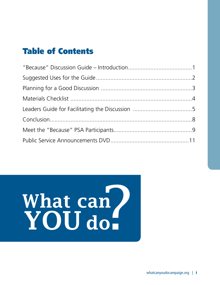# Table of Contents

# What can<br>YOU do.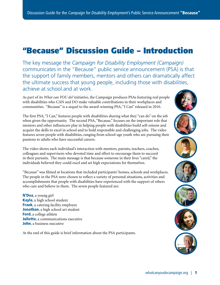# <span id="page-3-0"></span>"Because" Discussion Guide – Introduction

The key message the *Campaign for Disability Employment (Campaign)* communicates in the "Because" public service announcement (PSA) is that the support of family members, mentors and others can dramatically affect the ultimate success that young people, including those with disabilities, achieve at school and at work.

As part of its *What can YOU do?* initiative, the Campaign produces PSAs featuring real people with disabilities who CAN and DO make valuable contributions in their workplaces and communities. "Because" is a sequel to the award-winning PSA, "I Can" released in 2010.

The first PSA, "I Can," features people with disabilities sharing what they "can do" on the job when given the opportunity. The second PSA, "Because," focuses on the important role that mentors and other influencers play in helping people with disabilities build self-esteem and acquire the skills to excel in school and to hold responsible and challenging jobs. The video features seven people with disabilities, ranging from school-age youth who are pursuing their passions to adults who have successful careers.

The video shows each individual's interaction with mentors, parents, teachers, coaches, colleagues and supervisors who devoted time and effort to encourage them to succeed in their pursuits. The main message is that because someone in their lives "cared," the individuals believed they could excel and set high expectations for themselves.

"Because" was filmed at locations that included participants' homes, schools and workplaces. The people in the PSA were chosen to reflect a variety of personal situations, activities and accomplishments that people with disabilities have experienced with the support of others who care and believe in them. The seven people featured are:

N'Dea, a young girl Kayla, a high school student **Frank**, a catering facility employee Jonathan, a high school art student Ford, a college athlete **Juliette**, a communications executive John, a business executive

At the end of this guide is brief information about the PSA participants.







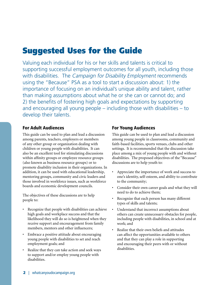# <span id="page-4-0"></span>Suggested Uses for the Guide

Valuing each individual for his or her skills and talents is critical to supporting successful employment outcomes for all youth, including those with disabilities. The Campaign for Disability Employment recommends using the "Because" PSA as a tool to start a discussion about: 1) the importance of focusing on an individual's unique ability and talent, rather than making assumptions about what he or she can or cannot do; and 2) the benefits of fostering high goals and expectations by supporting and encouraging all young people – including those with disabilities – to develop their talents.

### For Adult Audiences

This guide can be used to plan and lead a discussion among parents, teachers, employers or members of any other group or organization dealing with children or young people with disabilities. It can also be an excellent tool for stimulating discussions within affinity groups or employee resource groups (also known as business resource groups) or to promote disability inclusion in their organizations. In addition, it can be used with educational leadership, mentoring groups, community and civic leaders and those involved in workforce issues, such as workforce boards and economic development councils.

The objectives of these discussions are to help people to:

- Recognize that people with disabilities can achieve high goals and workplace success and that the likelihood they will do so is heightened when they receive support and encouragement from family members, mentors and other influencers;
- • Embrace a positive attitude about encouraging young people with disabilities to set and reach employment goals; and
- Realize that they can take action and seek ways to support and/or employ young people with disabilities.

### For Young Audiences

This guide can be used to plan and lead a discussion among young people in classrooms, community and faith-based facilities, sports venues, clubs and other settings. It is recommended that the discussion take place among a mix of young people with and without disabilities. The proposed objectives of the "Because" discussions are to help youth to:

- • Appreciate the importance of work and success to one's identity, self-esteem, and ability to contribute to the community;
- • Consider their own career goals and what they will need to do to achieve them;
- Recognize that each person has many different types of skills and talents;
- • Understand that incorrect assumptions about others can create unnecessary obstacles for people, including people with disabilities, in school and at work; and
- • Realize that their own beliefs and attitudes can affect the opportunities available to others and that they can play a role in supporting and encouraging their peers with or without disabilities.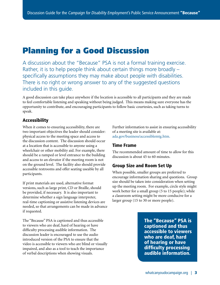# <span id="page-5-0"></span>Planning for a Good Discussion

A discussion about the "Because" PSA is not a formal training exercise. Rather, it is to help people think about certain things more broadly – specifically assumptions they may make about people with disabilities. There is no right or wrong answer to any of the suggested questions included in this guide.

A good discussion can take place anywhere if the location is accessible to all participants and they are made to feel comfortable listening and speaking without being judged. This means making sure everyone has the opportunity to contribute, and encouraging participants to follow basic courtesies, such as taking turns to speak.

### Accessibility

When it comes to ensuring accessibility, there are two important objectives the leader should consider: physical access to the meeting space and access to the discussion content. The discussion should occur at a location that is accessible to anyone using a wheelchair or other mobility aid. For example, there should be a ramped or level entrance to the building and access to an elevator if the meeting room is not on the ground level. The facility also should provide accessible restrooms and offer seating useable by all participants.

If print materials are used, alternative format versions, such as large print, CD or Braille, should be provided, if necessary. It is also important to determine whether a sign language interpreter, real-time captioning or assistive listening devices are needed, so that arrangements can be made in advance if requested.

The "Because" PSA is captioned and thus accessible to viewers who are deaf, hard of hearing or have difficulty processing audible information. The discussion leader is encouraged to use the audio introduced version of the PSA to ensure that the video is accessible to viewers who are blind or visually impaired, and also as a tool to teach the importance of verbal descriptions when showing visuals.

Further information to assist in ensuring accessibility of a meeting site is available at: [ada.gov/business/accessiblemtg.htm](www.ada.gov/business/accessiblemtg.htm).

### Time Frame

The recommended amount of time to allow for this discussion is about 45 to 60 minutes.

### Group Size and Room Set Up

When possible, smaller groups are preferred to encourage information sharing and questions. Group size should be taken into consideration when setting up the meeting room. For example, circle style might work better for a small group (5 to 15 people); while a classroom setting might be more conducive for a larger group (15 to 30 or more people).

> The "Because" PSA is captioned and thus accessible to viewers who are deaf, hard of hearing or have difficulty processing audible information.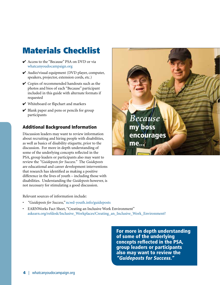# <span id="page-6-0"></span>Materials Checklist

- ✔ Access to the "Because" PSA on DVD or via [whatcanyoudocampaign.org](www.whatcanyoudocampaign.org)
- ✔ Audio/visual equipment (DVD player, computer, speakers, projector, extension cords, etc.)
- $\vee$  Copies of recommended handouts such as the photos and bios of each "Because" participant included in this guide with alternate formats if requested
- ✔ Whiteboard or flipchart and markers
- $\vee$  Blank paper and pens or pencils for group participants

### Additional Background Information

Discussion leaders may want to review information about recruiting and hiring people with disabilities, as well as basics of disability etiquette, prior to the discussion. For more in depth understanding of some of the underlying concepts reflected in the PSA, group leaders or participants also may want to review the *"Guideposts for Success."* The *Guideposts* are educational and career development interventions that research has identified as making a positive difference in the lives of youth – including those with disabilities. Understanding the *Guideposts* however, is not necessary for stimulating a good discussion.

Relevant sources of information include:

- • *"Guideposts for Success,"* [ncwd-youth.info/guideposts](http://ncwd-youth.info/guideposts)
- EARNWorks Fact Sheet, "Creating an Inclusive Work Environment" [askearn.org/refdesk/Inclusive\\_Workplaces/Creating\\_an\\_Inclusive\\_Work\\_Environment?](www.askearn.org/refdesk/Inclusive_Workplaces/Creating_an_Inclusive_Work_Environment?)

For more in depth understanding of some of the underlying concepts reflected in the PSA, group leaders or participants also may want to review the "Guideposts for Success."

*Because*

encourages

my boss

me... $\frac{3}{2}$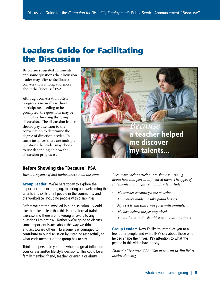# <span id="page-7-0"></span>Leaders Guide for Facilitating the Discussion

Below are suggested comments and some questions the discussion leader may offer to facilitate a conversation among audiences about the "Because" PSA.

Although conversation often progresses naturally without participants needing to be prompted, the questions may be helpful in directing the group discussion. The discussion leader should pay attention to the conversation to determine the degree of direction needed. In some instances there are multiple questions the leader may choose to use depending on how the discussion progresses.



### Before Showing the "Because" PSA

*Introduce yourself and invite others to do the same.*

**Group Leader:** We're here today to explore the importance of encouraging, fostering and welcoming the talents and skills of all people in the community and in the workplace, including people with disabilities.

Before we get too involved in our discussion, I would like to make it clear that this is not a formal training exercise and there are no wrong answers to any questions I might ask. Rather, we're going to discuss some important issues about the way we think of and act toward others. Everyone is encouraged to contribute to our discussion by listening respectfully to what each member of the group has to say.

Think of a person in your life who had great influence on your career and/or life style decisions. This could be a family member, friend, teacher, or even a celebrity.

*Encourage each participant to share something about how that person influenced them. The types of statements that might be appropriate include:*

- *• My teacher encouraged me to write.*
- *• My mother made me take piano lessons.*
- *• My best friend said I was good with animals.*
- *• My boss helped me get organized.*
- *• My husband said I should start my own business.*

**Group Leader:** Now I'd like to introduce you to a few other people and what THEY say about those who helped shape their lives. Pay attention to what the people in this video have to say.

*Show the "Because" PSA. You may want to dim lights during showing.*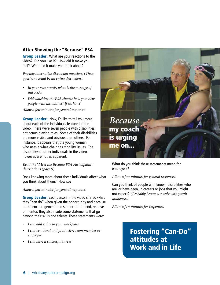### After Showing the "Because" PSA

**Group Leader:** What are your reactions to the video? Did you like it? How did it make you feel? What did it make you think about?

*Possible alternative discussion questions (These questions could be an entire discussion):* 

- *• In your own words, what is the message of this PSA?*
- *• Did watching the PSA change how you view people with disabilities? If so, how?*

*Allow a few minutes for general responses.*

**Group Leader:** Now, I'd like to tell you more about each of the individuals featured in the video. There were seven people with disabilities, not actors playing roles. Some of their disabilities are more visible and obvious than others. For instance, it appears that the young woman who uses a wheelchair has mobility issues. The disabilities of other individuals in the video, however, are not as apparent.

*Read the "Meet the Because PSA Participants" descriptions (page 9).*

Does knowing more about these individuals affect what you think about them? How so?

*Allow a few minutes for general responses.*

**Group Leader:** Each person in the video shared what they "can do" when given the opportunity and because of the encouragement and support of a friend, relative or mentor. They also made some statements that go beyond their skills and talents. These statements were:

- *• I can add value to your workplace*
- *• I can be a loyal and productive team member or employee*
- *• I can have a successful career*



What do you think these statements mean for employers?

*Allow a few minutes for general responses.*

Can you think of people with known disabilities who are, or have been, in careers or jobs that you might not expect? *(Probably best to use only with youth audiences.)* 

*Allow a few minutes for responses.*

Fostering "Can-Do" attitudes at Work and in Life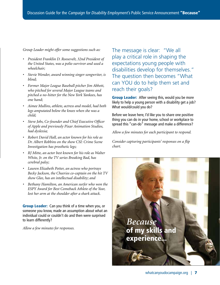*Group Leader might offer some suggestions such as:*

- *• President Franklin D. Roosevelt, 32nd President of the United States, was a polio survivor and used a wheelchair;*
- *• Stevie Wonder, award winning singer-songwriter, is blind;*
- *• Former Major League Baseball pitcher Jim Abbott, who pitched for several Major League teams and pitched a no-hitter for the New York Yankees, has one hand;*
- *• Aimee Mullins, athlete, actress and model, had both legs amputated below the knees when she was a child;*
- *• Steve Jobs, Co-founder and Chief Executive Officer of Apple and previously Pixar Animation Studios, had dyslexia;*
- *• Robert David Hall, an actor known for his role as Dr. Albert Robbins on the show CSI: Crime Scene Investigation has prosthetic legs;*
- *• RJ Mitte, an actor best known for his role as Walter White, Jr. on the TV series Breaking Bad, has cerebral palsy;*
- *• Lauren Elizabeth Potter, an actress who portrays Becky Jackson, the Cheerios co-captain on the hit TV show Glee, has an intellectual disability; and*
- *• Bethany Hamilton, an American surfer who won the ESPY Award for Best Comeback Athlete of the Year, lost her arm at the shoulder after a shark attack.*

**Group Leader:** Can you think of a time when you, or someone you know, made an assumption about what an individual could or couldn't do and then were surprised to learn differently?

*Allow a few minutes for responses.*

The message is clear: "We all play a critical role in shaping the expectations young people with disabilities develop for themselves." The question then becomes "What can YOU do to help them set and reach their goals?

**Group Leader:** After seeing this, would you be more likely to help a young person with a disability get a job? What would/could you do?

Before we leave here, I'd like you to share one positive thing you can do in your home, school or workplace to spread this "can-do" message and make a difference?

*Allow a few minutes for each participant to respond*.

*Consider capturing participants' responses on a flip chart.*

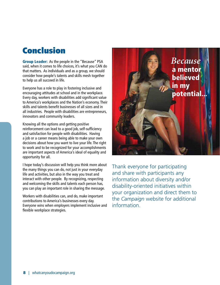# <span id="page-10-0"></span>Conclusion

Group Leader: As the people in the "Because" PSA said, when it comes to life choices, it's what you CAN do that matters. As individuals and as a group, we should consider how people's talents and skills mesh together to help us all succeed in life.

Everyone has a role to play in fostering inclusive and encouraging attitudes at school and in the workplace. Every day, workers with disabilities add significant value to America's workplaces and the Nation's economy. Their skills and talents benefit businesses of all sizes and in all industries. People with disabilities are entrepreneurs, innovators and community leaders.

Knowing all the options and getting positive reinforcement can lead to a good job, self-sufficiency and satisfaction for people with disabilities. Having a job or a career means being able to make your own decisions about how you want to live your life. The right to work and to be recognized for your accomplishments are important aspects of America's ideal of equality and opportunity for all.

I hope today's discussion will help you think more about the many things you can do, not just in your everyday life and activities, but also in the way you treat and interact with other people. By recognizing, respecting and welcoming the skills and talents each person has, you can play an important role in sharing the message.

Workers with disabilities can, and do, make important contributions to America's businesses every day. Everyone wins when employers implement inclusive and flexible workplace strategies.



Thank everyone for participating and share with participants any information about diversity and/or disability-oriented initiatives within your organization and direct them to the *Campaign* website for additional information.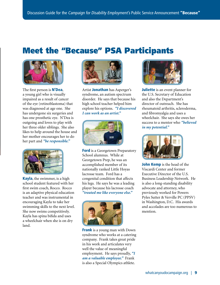# <span id="page-11-0"></span>Meet the "Because" PSA Participants



The first person is **N'Dea**, a young girl who is visually impaired as a result of cancer of the eye (retinoblastoma) that was diagnosed at age one. She has undergone six surgeries and has one prosthetic eye. N'Dea is outgoing and loves to play with her three older siblings. She also likes to help around the house and her mother encourages her to do her part and *"be responsible."*



Kayla, the swimmer, is a high school student featured with her first swim coach, Rocco. Rocco is an adaptive physical education teacher and was instrumental in encouraging Kayla to take her swimming skills to the next level. She now swims competitively. Kayla has spina bifida and uses a wheelchair when she is on dry land.



Artist Jonathan has Asperger's syndrome, an autism spectrum disorder. He says that because his high school teacher helped him explore his options. *"I discovered I can work as an artist."*



**Ford** is a Georgetown Preparatory School alumnus. While at Georgetown Prep, he was an accomplished member of its nationally ranked Little Hoyas lacrosse team. Ford has a congenital condition that affects his legs. He says he was a leading player because his lacrosse coach *"treated me like everyone else."*



**Frank** is a young man with Down syndrome who works at a catering company. Frank takes great pride in his work and articulates very well the value of meaningful employment. He says proudly, *"I am a valuable employee."* Frank is also a Special Olympics athlete.



**Juliette** is an event planner for the U.S. Secretary of Education and also the Department's director of outreach. She has rheumatoid arthritis, scleroderma, and fibromyalgia and uses a wheelchair. She says she owes her success to a mentor who *"believed in my potential."*



John Kemp is the head of the Viscardi Center and former Executive Director of the U.S. Business Leadership Network. He is also a long-standing disability advocate and attorney, who previously worked for Powers Pyles Sutter & Verville PC (PPSV) in Washington, D.C. His awards and accolades are too numerous to mention.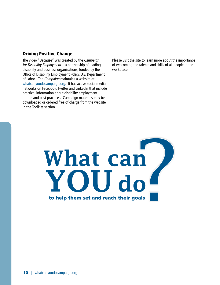### Driving Positive Change

The video "Because" was created by the Campaign for Disability Employment – a partnership of leading disability and business organizations, funded by the Office of Disability Employment Policy, U.S. Department of Labor. The Campaign maintains a website at [whatcanyoudocampaign.org.](http://www.whatcanyoudocampaign.org) It has active social media networks on Facebook, Twitter and LinkedIn that include practical information about disability employment efforts and best practices. Campaign materials may be downloaded or ordered free of charge from the website in the Toolkits section.

Please visit the site to learn more about the importance of welcoming the talents and skills of all people in the workplace.